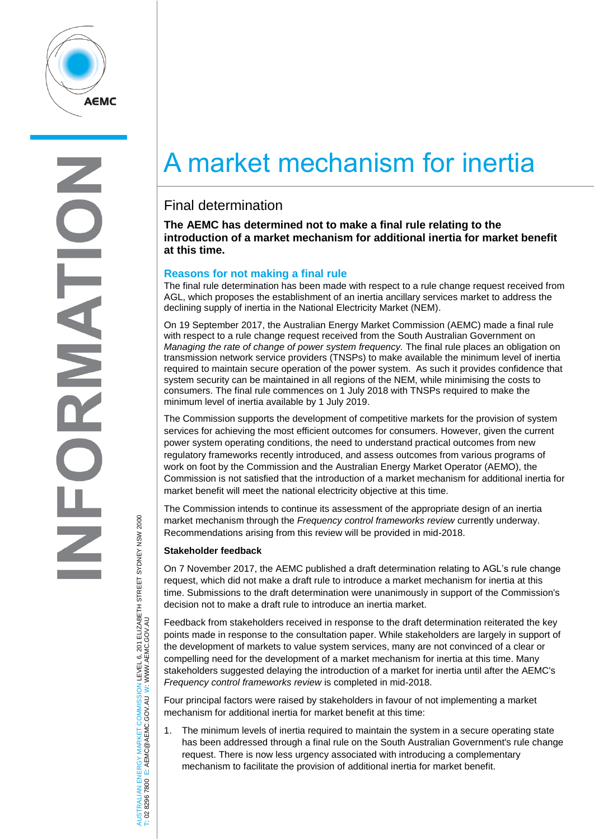

# A market mechanism for inertia

## Final determination

**The AEMC has determined not to make a final rule relating to the introduction of a market mechanism for additional inertia for market benefit at this time.**

### **Reasons for not making a final rule**

The final rule determination has been made with respect to a rule change request received from AGL, which proposes the establishment of an inertia ancillary services market to address the declining supply of inertia in the National Electricity Market (NEM).

On 19 September 2017, the Australian Energy Market Commission (AEMC) made a final rule with respect to a rule change request received from the South Australian Government on *Managing the rate of change of power system frequency.* The final rule places an obligation on transmission network service providers (TNSPs) to make available the minimum level of inertia required to maintain secure operation of the power system. As such it provides confidence that system security can be maintained in all regions of the NEM, while minimising the costs to consumers. The final rule commences on 1 July 2018 with TNSPs required to make the minimum level of inertia available by 1 July 2019.

The Commission supports the development of competitive markets for the provision of system services for achieving the most efficient outcomes for consumers. However, given the current power system operating conditions, the need to understand practical outcomes from new regulatory frameworks recently introduced, and assess outcomes from various programs of work on foot by the Commission and the Australian Energy Market Operator (AEMO), the Commission is not satisfied that the introduction of a market mechanism for additional inertia for market benefit will meet the national electricity objective at this time.

The Commission intends to continue its assessment of the appropriate design of an inertia market mechanism through the *Frequency control frameworks review* currently underway. Recommendations arising from this review will be provided in mid-2018.

### **Stakeholder feedback**

On 7 November 2017, the AEMC published a draft determination relating to AGL's rule change request, which did not make a draft rule to introduce a market mechanism for inertia at this time. Submissions to the draft determination were unanimously in support of the Commission's decision not to make a draft rule to introduce an inertia market.

Feedback from stakeholders received in response to the draft determination reiterated the key points made in response to the consultation paper. While stakeholders are largely in support of the development of markets to value system services, many are not convinced of a clear or compelling need for the development of a market mechanism for inertia at this time. Many stakeholders suggested delaying the introduction of a market for inertia until after the AEMC's *Frequency control frameworks review* is completed in mid-2018.

Four principal factors were raised by stakeholders in favour of not implementing a market mechanism for additional inertia for market benefit at this time:

1. The minimum levels of inertia required to maintain the system in a secure operating state has been addressed through a final rule on the South Australian Government's rule change request. There is now less urgency associated with introducing a complementary mechanism to facilitate the provision of additional inertia for market benefit.

AUSTRALIAN ENERGY MARKET COMMISSION LEVEL 6, 201 ELIZABETH STREET SYDNEY NSM 2000<br>T: 02 8296 7800 E: AEMC@AEMC.GOV.AU W: WWW.AEMC.GOV.AU AUSTRALIAN ENERGY MARKET COMMISSION LEVEL 6, 201 ELIZABETH STREET SYDNEY NSW 2000 W: WWW.AEMC.GOV.AU T: 02 8296 7800 E: AEMC@AEMC.GOV.AU